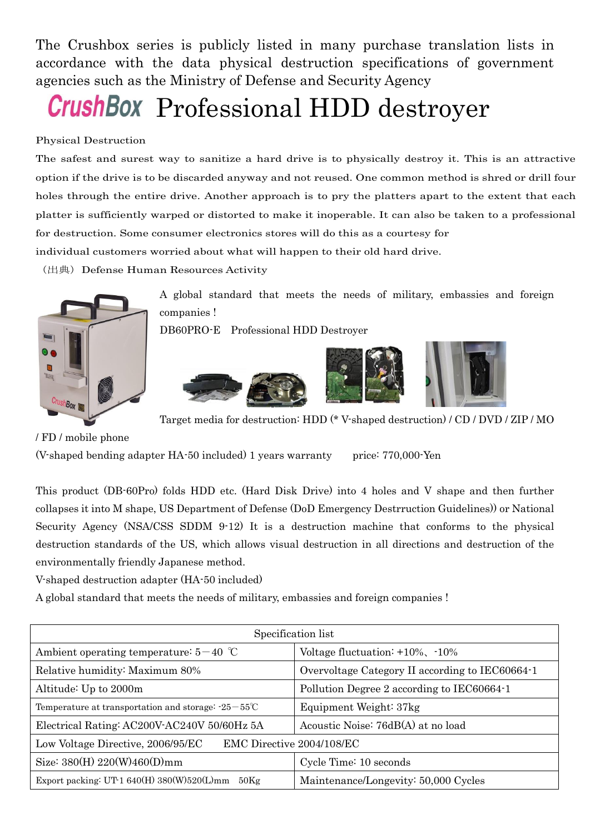The Crushbox series is publicly listed in many purchase translation lists in accordance with the data physical destruction specifications of government agencies such as the Ministry of Defense and Security Agency

## **CrushBox** Professional HDD destroyer

## Physical Destruction

The safest and surest way to sanitize a hard drive is to physically destroy it. This is an attractive option if the drive is to be discarded anyway and not reused. One common method is shred or drill four holes through the entire drive. Another approach is to pry the platters apart to the extent that each platter is sufficiently warped or distorted to make it inoperable. It can also be taken to a professional for destruction. Some consumer electronics stores will do this as a courtesy for

individual customers worried about what will happen to their old hard drive.

(出典)Defense Human Resources Activity



A global standard that meets the needs of military, embassies and foreign companies !

DB60PRO-E Professional HDD Destroyer







Target media for destruction: HDD (\* V-shaped destruction) / CD / DVD / ZIP / MO

/ FD / mobile phone

(V-shaped bending adapter HA-50 included) 1 years warranty price: 770,000-Yen

This product (DB-60Pro) folds HDD etc. (Hard Disk Drive) into 4 holes and V shape and then further collapses it into M shape, US Department of Defense (DoD Emergency Destrruction Guidelines)) or National Security Agency (NSA/CSS SDDM 9-12) It is a destruction machine that conforms to the physical destruction standards of the US, which allows visual destruction in all directions and destruction of the environmentally friendly Japanese method.

V-shaped destruction adapter (HA-50 included)

A global standard that meets the needs of military, embassies and foreign companies !

|                                                                     | Specification list                              |
|---------------------------------------------------------------------|-------------------------------------------------|
| Ambient operating temperature: $5-40$ °C                            | Voltage fluctuation: $+10\%$ , $-10\%$          |
| Relative humidity: Maximum 80%                                      | Overvoltage Category II according to IEC60664-1 |
| Altitude: Up to 2000m                                               | Pollution Degree 2 according to IEC60664-1      |
| Temperature at transportation and storage: $-25-55^{\circ}\text{C}$ | Equipment Weight: 37kg                          |
| Electrical Rating: AC200V-AC240V 50/60Hz 5A                         | Acoustic Noise: 76dB(A) at no load              |
| EMC Directive 2004/108/EC<br>Low Voltage Directive, 2006/95/EC      |                                                 |
| Size: $380(H)$ 220(W)460(D)mm                                       | Cycle Time: 10 seconds                          |
| Export packing: UT-1 640(H) 380(W)520(L)mm $50\text{Kg}$            | Maintenance/Longevity: 50,000 Cycles            |